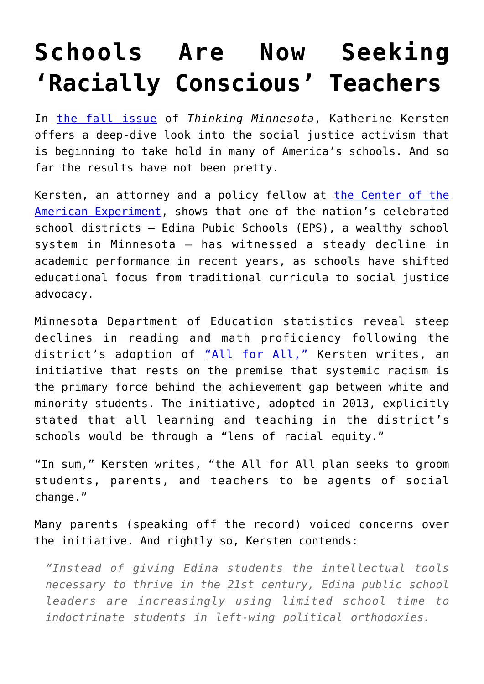## **[Schools Are Now Seeking](https://intellectualtakeout.org/2017/10/schools-are-now-seeking-racially-conscious-teachers/) ['Racially Conscious' Teachers](https://intellectualtakeout.org/2017/10/schools-are-now-seeking-racially-conscious-teachers/)**

In [the fall issue](https://2lffqo2moysixpyb349z0bj6-wpengine.netdna-ssl.com/wp-content/uploads/2017/09/Thinking-MN-Issue-9-Fall17-52p-Optimized.pdf) of *Thinking Minnesota*, Katherine Kersten offers a deep-dive look into the social justice activism that is beginning to take hold in many of America's schools. And so far the results have not been pretty.

Kersten, an attorney and a policy fellow at [the Center of the](https://www.americanexperiment.org/) [American Experiment,](https://www.americanexperiment.org/) shows that one of the nation's celebrated school districts – Edina Pubic Schools (EPS), a wealthy school system in Minnesota – has witnessed a steady decline in academic performance in recent years, as schools have shifted educational focus from traditional curricula to social justice advocacy.

Minnesota Department of Education statistics reveal steep declines in reading and math proficiency following the district's adoption of ["All for All,"](https://www.edinaschools.org/cms/lib/MN01909547/Centricity/Domain/355/ALLforALL-Report.pdf) Kersten writes, an initiative that rests on the premise that systemic racism is the primary force behind the achievement gap between white and minority students. The initiative, adopted in 2013, explicitly stated that all learning and teaching in the district's schools would be through a "lens of racial equity."

"In sum," Kersten writes, "the All for All plan seeks to groom students, parents, and teachers to be agents of social change."

Many parents (speaking off the record) voiced concerns over the initiative. And rightly so, Kersten contends:

*"Instead of giving Edina students the intellectual tools necessary to thrive in the 21st century, Edina public school leaders are increasingly using limited school time to indoctrinate students in left-wing political orthodoxies.*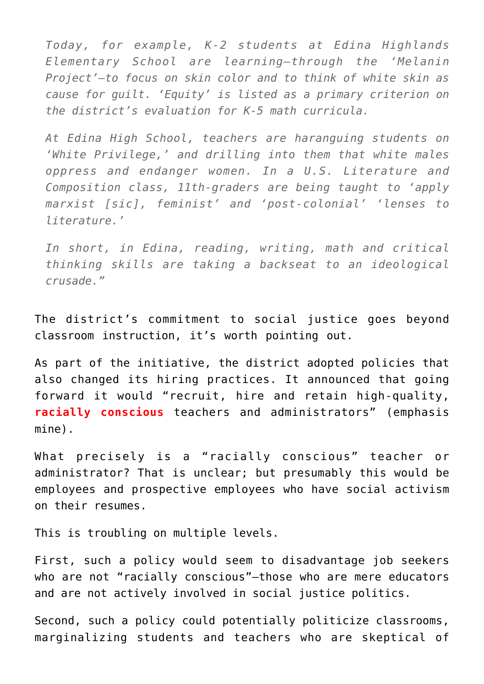*Today, for example, K-2 students at Edina Highlands Elementary School are learning—through the 'Melanin Project'—to focus on skin color and to think of white skin as cause for guilt. 'Equity' is listed as a primary criterion on the district's evaluation for K-5 math curricula.*

*At Edina High School, teachers are haranguing students on 'White Privilege,' and drilling into them that white males oppress and endanger women. In a U.S. Literature and Composition class, 11th-graders are being taught to 'apply marxist [sic], feminist' and 'post-colonial' 'lenses to literature.'*

*In short, in Edina, reading, writing, math and critical thinking skills are taking a backseat to an ideological crusade."*

The district's commitment to social justice goes beyond classroom instruction, it's worth pointing out.

As part of the initiative, the district adopted policies that also changed its hiring practices. It announced that going forward it would "recruit, hire and retain high-quality, **racially conscious** teachers and administrators" (emphasis mine).

What precisely is a "racially conscious" teacher or administrator? That is unclear; but presumably this would be employees and prospective employees who have social activism on their resumes.

This is troubling on multiple levels.

First, such a policy would seem to disadvantage job seekers who are not "racially conscious"-those who are mere educators and are not actively involved in social justice politics.

Second, such a policy could potentially politicize classrooms, marginalizing students and teachers who are skeptical of